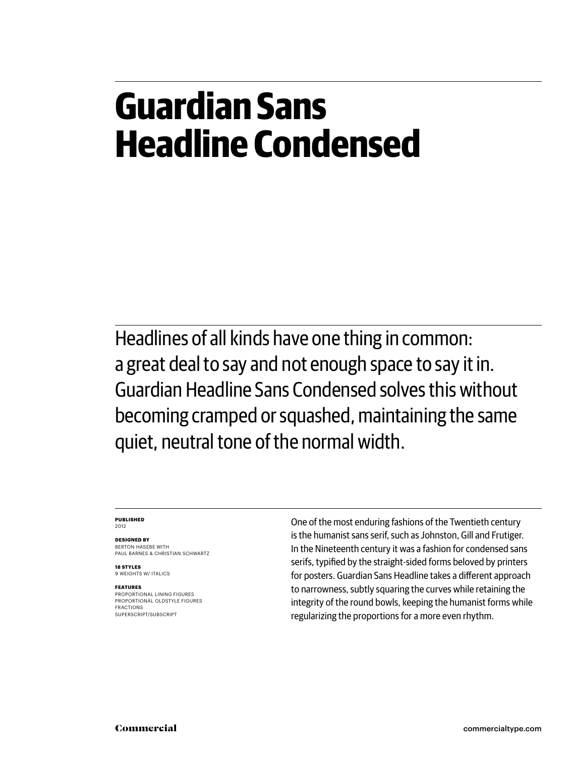#### **Guardian Sans Headline Condensed**

Headlines of all kinds have one thing in common: a great deal to say and not enough space to say it in. Guardian Headline Sans Condensed solves this without becoming cramped or squashed, maintaining the same quiet, neutral tone of the normal width.

#### **Published** 2012

**Designed by** BERTON HASEBE WITH Paul Barnes & Christian Schwartz

**18 styles** 9 weights w/ italics

#### **Features**

proportional lining figures proportional oldstyle figures fractions superscript/subscript

One of the most enduring fashions of the Twentieth century is the humanist sans serif, such as Johnston, Gill and Frutiger. In the Nineteenth century it was a fashion for condensed sans serifs, typified by the straight-sided forms beloved by printers for posters. Guardian Sans Headline takes a different approach to narrowness, subtly squaring the curves while retaining the integrity of the round bowls, keeping the humanist forms while regularizing the proportions for a more even rhythm.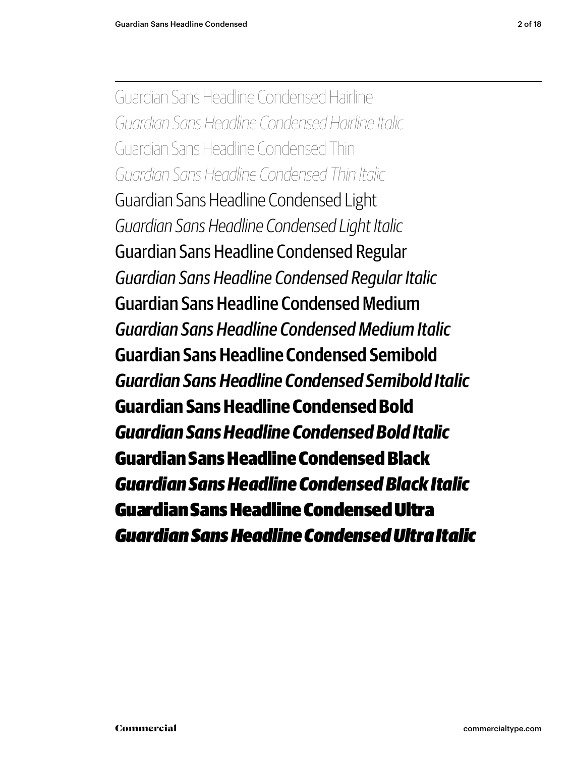Guardian Sans Headline Condensed Hairline *Guardian Sans Headline Condensed Hairline Italic* Guardian Sans Headline Condensed Thin *Guardian Sans Headline Condensed Thin Italic* Guardian Sans Headline Condensed Light *Guardian Sans Headline Condensed Light Italic* Guardian Sans Headline Condensed Regular *Guardian Sans Headline Condensed Regular Italic* Guardian Sans Headline Condensed Medium *Guardian Sans Headline Condensed Medium Italic* **Guardian Sans Headline Condensed Semibold** *Guardian Sans Headline Condensed Semibold Italic* **Guardian Sans Headline Condensed Bold** *Guardian Sans Headline Condensed Bold Italic* Guardian Sans Headline Condensed Black *Guardian Sans Headline Condensed Black Italic* Guardian Sans Headline Condensed Ultra *Guardian Sans Headline Condensed Ultra Italic*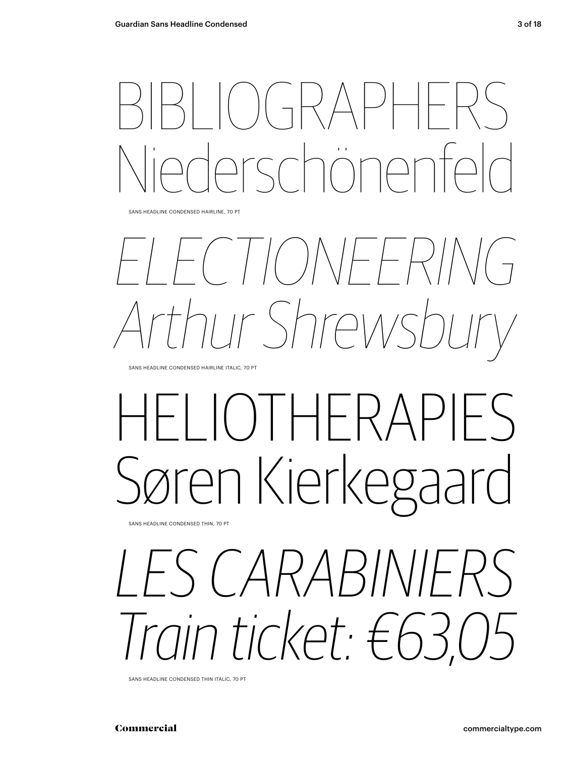## bibliographers Niederschönenfeld

sans Headline condensed HAIRLINE, 70 pt

## *ELECtioneering Arthur Shrewsbury*

sans Headline condensed HAIRLINE Italic, 70 pt

# heliotherapies en Kierkegaard

sans Headline condensed THIN, 70 pt

### *les Carabiniers Train ticket: €63,05*

sans Headline condensed THIN italic, 70 pt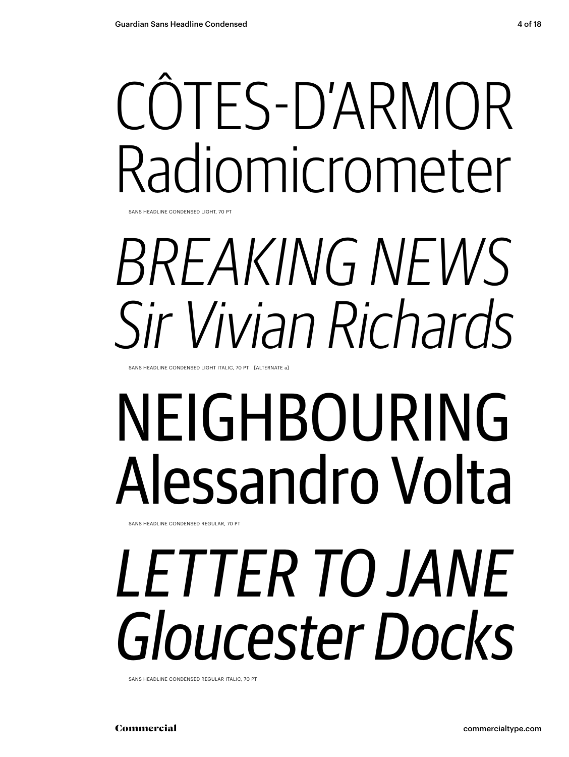# CÔTES-D'ARMOR Radiomicrometer

sans Headline condensed LIGHT, 70 pt

## *breaking news Sir Vivian Richards*

SANS HEADLINE CONDENSED LIGHT ITALIC, 70 PT [ALTERNATE a]

## NEIGHBOURING Alessandro Volta

sans Headline condensed REGULAr, 70 pt

## *Letter to Jane Gloucester Docks*

sans Headline condensed REGULAR italic, 70 pt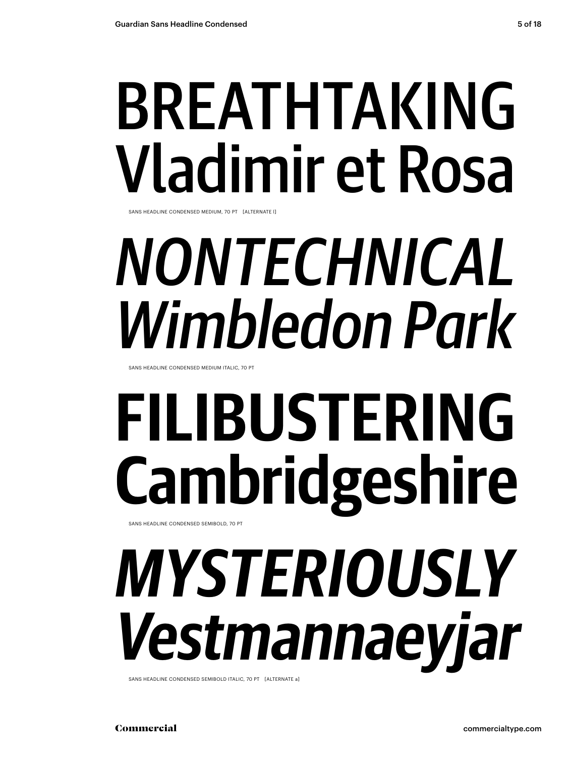# breathtaking Vladimir et Rosa

sans Headline condensed MEDIUM, 70 pt [alternate l]

# *nontechnical Wimbledon Park*

sans Headline condensed MEDIUM Italic, 70 pt

### **filibustering Cambridgeshire** sans Headline condensed SEMIBOLD, 70 pt

# *MYSTERIOUSly Vestmannaeyjar*

sans Headline condensed SEMIBOLD italic, 70 pt [alternate a]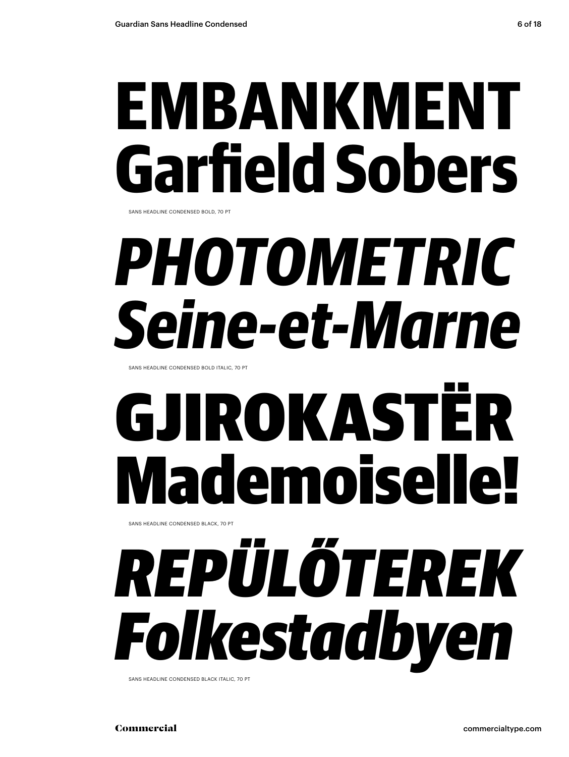## **EMBANKMENT Garfield Sobers**

sans Headline condensed BOLD, 70 pt

## *photometric Seine-et-Marne*

sans Headline condensed BOLD Italic, 70 pt

# Gjirokastër Mademoiselle!

sans Headline condensed BLACK, 70 pt

# *Repülőterek Folkestadbyen*

sans Headline condensed BLACK italic, 70 pt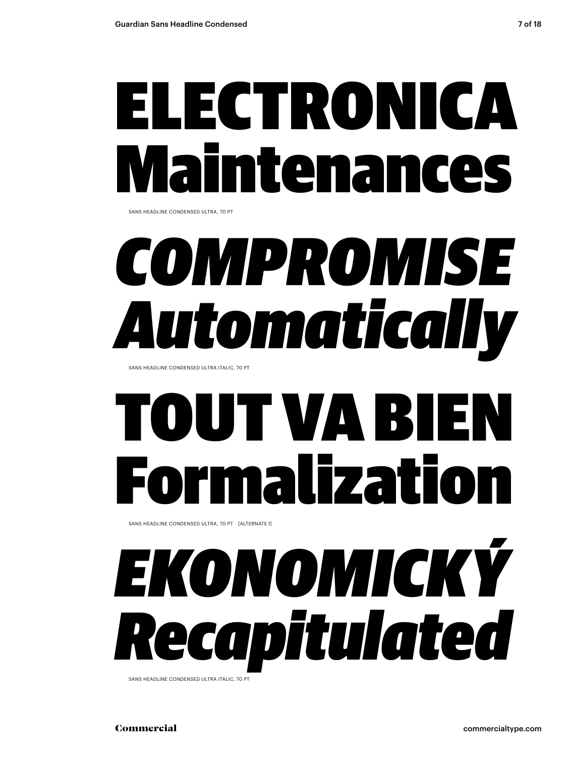### electronica ntenances

sans Headline condensed ULTRA, 70 pt

### *compromise Automatically*

sans Headline condensed ULTRA Italic, 70 pt

### UT VA BI malizati

SANS HEADLINE CONDENSED ULTRA, 70 PT [ALTERNATE I]

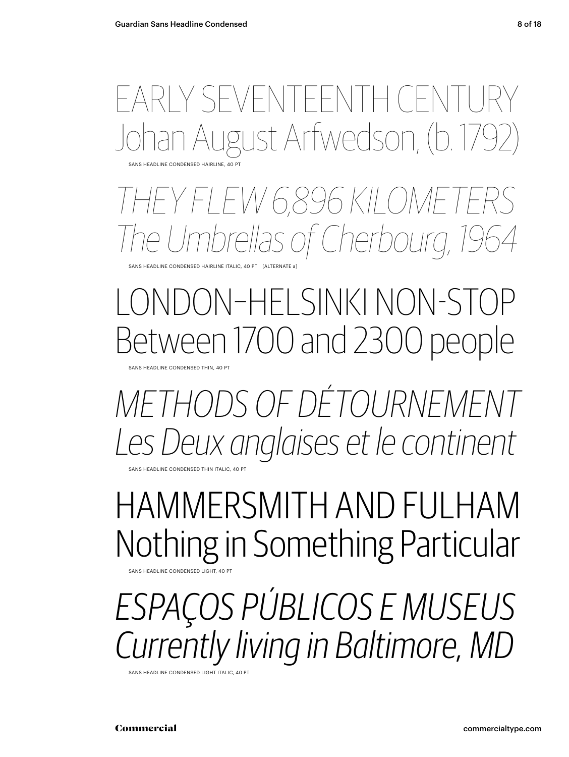### early seventh children century  $\mathbb{R}^n$ Jst Arfwedson, (b. 1/9

SANS HEADLINE CONDENSED HAIRLINE, 40 PT

SANS HEADLINE CONDENSED HAIRLINE ITALIC, 40 PT [ALTERNATE a] *they flew 6,896 kilometers The Umbrellas of Cherbourg, 1964*

)NDON–HFI SINKI NON-ST( Between 1700 and 2300 people

sans Headline condensed thin, 40 pt

sans Headline condensed thin italic, 40 pt *Methods of Détournement Les Deux anglaises et le continent*

Hammersmith and Fulham Nothing in Something Particular

SANS HEADLINE CONDENSED LIGHT, 4

*Espaços públicos e museus Currently living in Baltimore, MD*

SANS HEADLINE CONDENSED LIGHT ITALIC, 40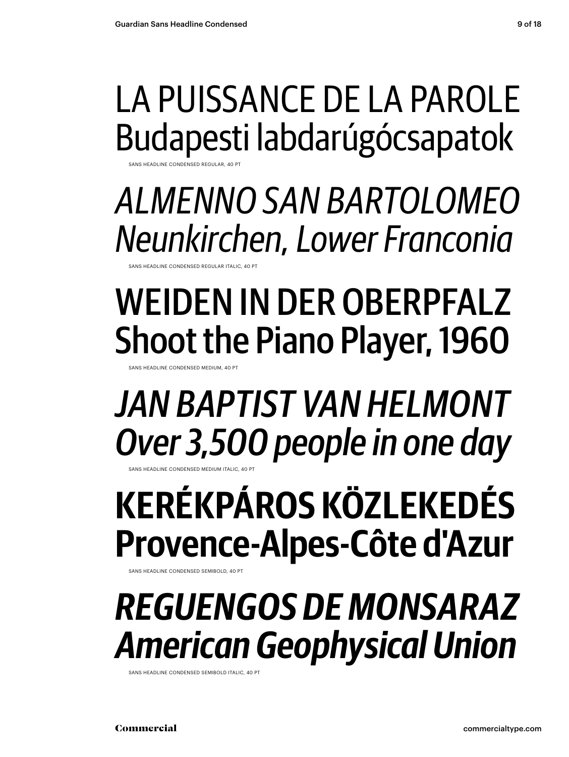### La Puissance de la parole Budapesti labdarúgócsapatok

sans Headline condensed regular, 40 pt

### *Almenno San Bartolomeo Neunkirchen, Lower Franconia*

ans Headline condensed regular Italic, 40 pt

### Weiden in der Oberpfalz Shoot the Piano Player, 1960

SANS HEADLINE CONDENSED MEDIUM, 40 PT

### *Jan Baptist van Helmont Over 3,500 people in one day*

sans Headline condensed medium Italic, 40 pt

### **Kerékpáros közlekedés Provence-Alpes-Côte d'Azur**

SANS HEADLINE CONDENSED SEMIBOLD.

### *Reguengos de Monsaraz American Geophysical Union*

sans Headline condensed semibold Italic, 40 pt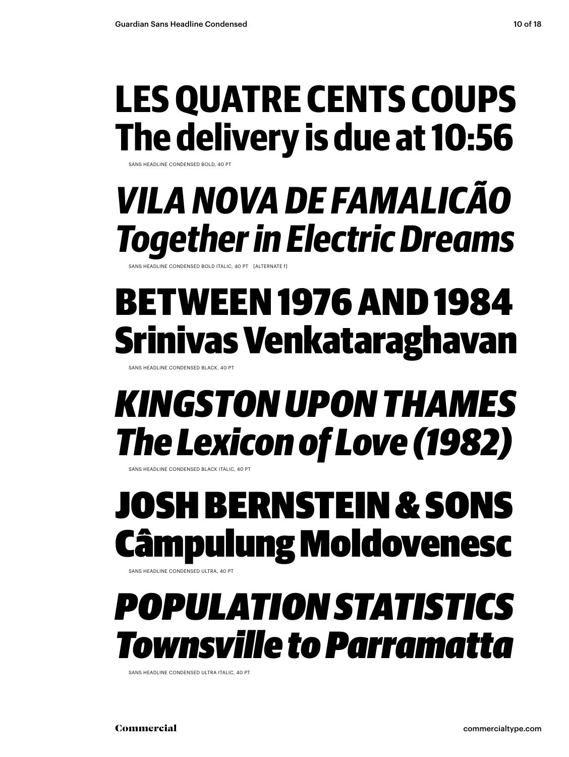### **Les Quatre Cents Coups The delivery is due at 10:56**

sans Headline condensed bold, 40 pt

### *Vila Nova de Famalicão Together in Electric Dreams*

SANS HEADLINE CONDENSED BOLD ITALIC, 40 PT [ALTERNATE f]

### Between 1976 and 1984 Srinivas Venkataraghavan

sans Headline condensed black, 40 pt

### *Kingston upon Thames The Lexicon of Love (1982)*

SANS HEADLINE CONDENSED BLACK ITALIC, 40 P

### joshBERNSTEIN& SONS Câmpulung Moldovenesc

SANS HEADLINE CONDENSED ULTRA, 40 P

### *population statistics Townsville to Parramatta*

SANS HEADLINE CONDENSED ULTRA ITALIC, 40 PT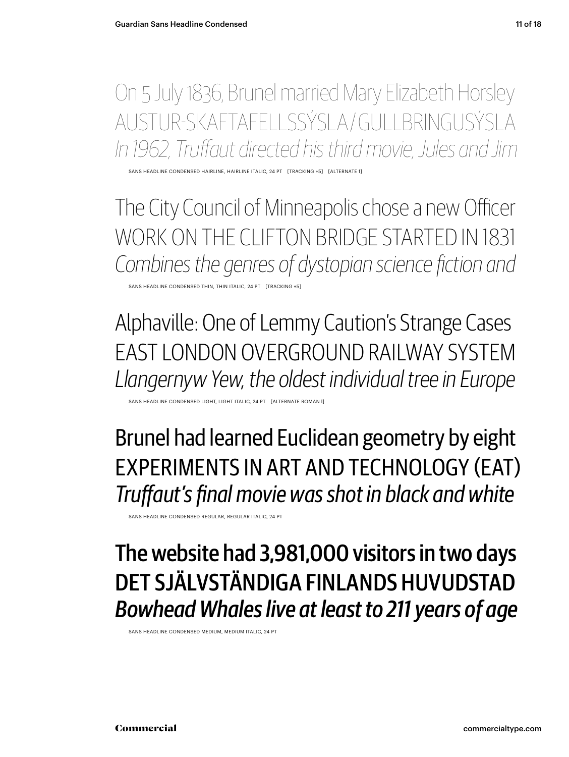On 5 July 1836, Brunel married Mary Elizabeth Horsley Austur-Skaftafellssýsla / Gullbringusýsla *In 1962, Truffaut directed his third movie, Jules and Jim*

SANS HEADLINE CONDENSED HAIRLINE, HAIRLINE ITALIC, 24 PT [TRACKING +5] [ALTERNATE f]

The City Council of Minneapolis chose a new Officer Work on the Clifton bridge started in 1831 *Combines the genres of dystopian science fiction and*

SANS HEADLINE CONDENSED THIN, THIN ITALIC, 24 PT [TRACKING +5]

Alphaville: One of Lemmy Caution's Strange Cases East London Overground Railway System *Llangernyw Yew, the oldest individual tree in Europe*

SANS HEADLINE CONDENSED LIGHT, LIGHT ITALIC, 24 PT [ALTERNATE ROMAN I]

Brunel had learned Euclidean geometry by eight Experiments in Art and Technology (EAT) *Truffaut's final movie was shot in black and white*

sans headline condensed REGULAR, REGULAR Italic, 24 pt

The website had 3,981,000 visitors in two days DET SJÄLVSTÄNDIGA FINLANDS HUVUDSTAD *Bowhead Whales live at least to 211 years of age*

sans headline condensed MEDIUM, MEDIUM Italic, 24 pt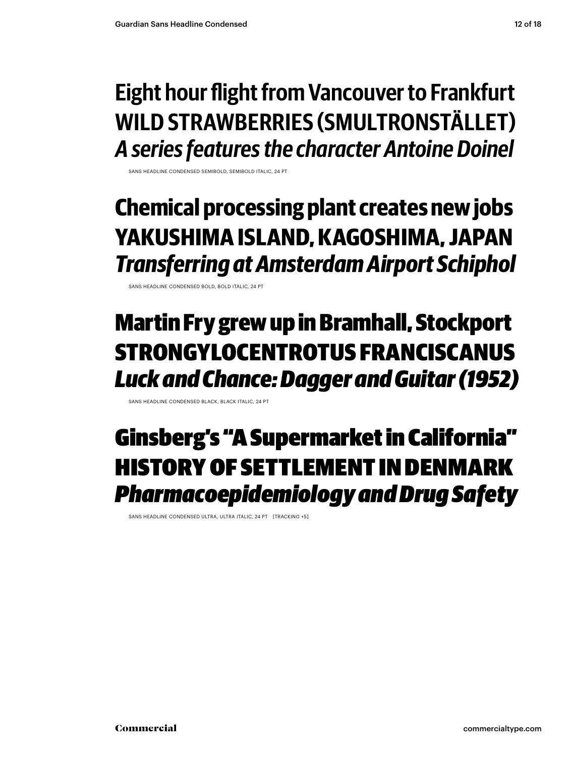#### **Eight hour flight from Vancouver to Frankfurt Wild Strawberries (Smultronstället)** *A series features the character Antoine Doinel*

HEADLINE CONDENSED SEMIBOLD, SEMIBOLD ITALIC,

#### **Chemical processing plant creates new jobs Yakushima Island, Kagoshima, Japan** *Transferring at Amsterdam Airport Schiphol*

sans headline condensed bold, bold Italic, 24 pt

#### Martin Fry grew up in Bramhall, Stockport Strongylocentrotus franciscanus *Luck and Chance: Dagger and Guitar (1952)*

sans headline condensed black, black Italic, 24 pt

#### Ginsberg's "A Supermarket in California" History of settlement in denmark *Pharmacoepidemiology and Drug Safety*

sans headline condensed ultra, ultra Italic, 24 pt [tracking +5]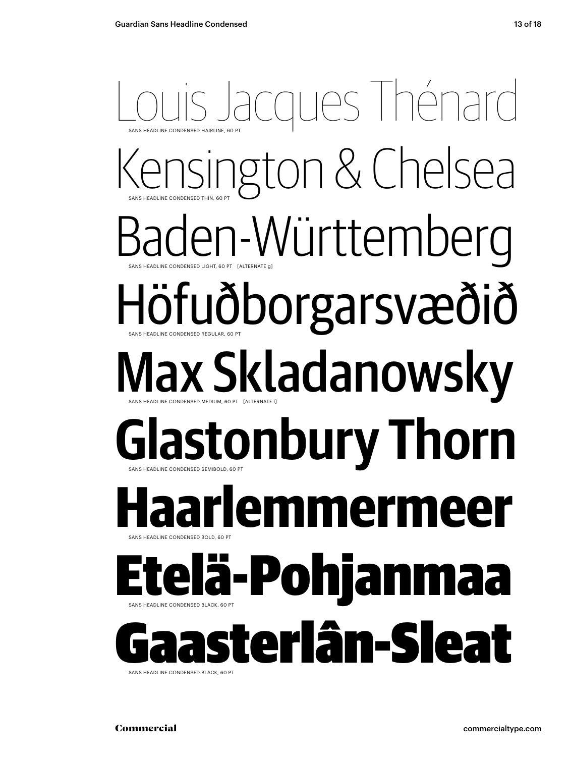#### Louis Jacques Thénard sans Headline condensed THIN, 60 pt sans Headline condensed HAIRLINE, 60 pt Kensington & Chelsea Baden-Württemberg sans Headline condensed REGULAR, 60 pt sans Headline condensed LIGHT, 60 pt [alternate g] Höfuðborgarsvæðið Max Skladanowsky sans Headline condensed SEMIBOLD, 60 pt sans Headline condensed MEDIUM, 60 pt [alternate l] **Glastonbury Thorn Haarlemmermeer** sans Headline condensed BLACK, 60 pt sans Headline condensed BOLD, 60 pt Etelä-Pohjanmaa Gaasterlân-Sleat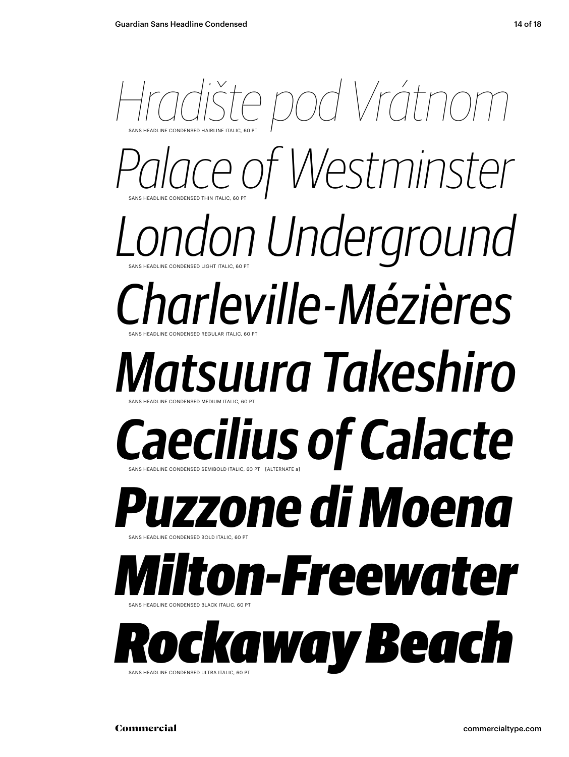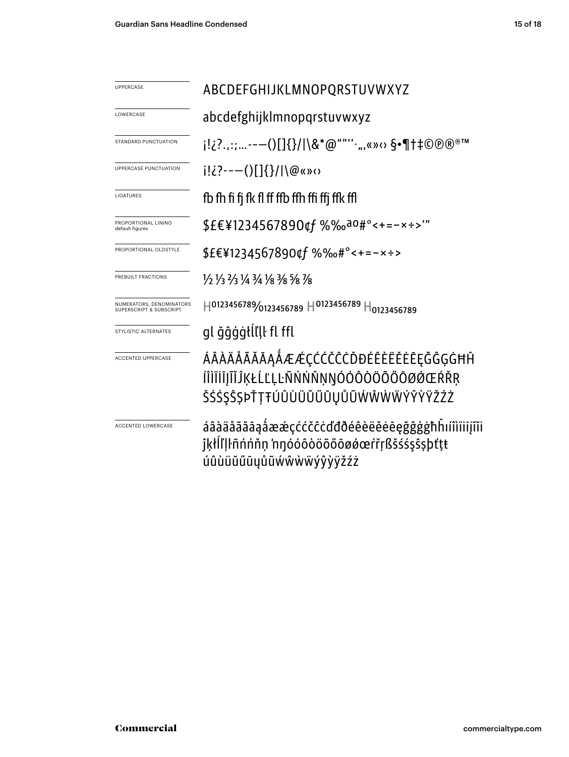| <b>UPPERCASE</b>                                    | ABCDEFGHIJKLMNOPQRSTUVWXYZ                                                                                           |
|-----------------------------------------------------|----------------------------------------------------------------------------------------------------------------------|
| LOWERCASE                                           | abcdefghijklmnopqrstuvwxyz                                                                                           |
| STANDARD PUNCTUATION                                | j!¿?.,:;---()[]{}/ \&*@""'' <sub>"</sub> ,,«»⇔§•¶†‡©®®™                                                              |
| UPPERCASE PUNCTUATION                               | $i! \dot{\epsilon}$ ?---()[]{}/ \@«»<>                                                                               |
| LIGATURES                                           | fb fh fi fi fk fl ff ffb ffh ffi ffj ffk ffl                                                                         |
| PROPORTIONAL LINING<br>default figures              | \$£€¥1234567890¢f %‰a0#°<+=-x÷>'"                                                                                    |
| PROPORTIONAL OLDSTYLE                               | $$EE41234567890$ of %‰#°<+=-x÷>                                                                                      |
| PREBUILT FRACTIONS                                  | 1/2 1/3 2/3 1/4 3/4 1/8 3/8 5/8 7/8                                                                                  |
| NUMERATORS, DENOMINATORS<br>SUPERSCRIPT & SUBSCRIPT | $H^{0123456789}$ 0123456789 $H^{0123456789}$ $H_{0123456789}$                                                        |
| STYLISTIC ALTERNATES                                | gl ğĝģģtĺllŀ fl ffl                                                                                                  |
| <b>ACCENTED UPPERCASE</b>                           | ÁÂÀÄÅÃĂĀĄÅÆÆÇĆĆČĊŎĐÉÊÈËĔĒĒĘĞĜĢĠĦĤ<br>ÍÎÌÏİIJĨĬĴĶŁĹĽĻĿÑŃŃŇŅŊÓÓÔŎŎŐŎØØŒŔŘŖ<br>ŠŚŚŞŜŞÞŤŢŦÚÛÙÜŬŰŪŲŮŨŴŴŴŴÝŶŸŽŹŻ           |
| ACCENTED LOWERCASE                                  | áâàäåãăāąåææçććčĉcďđðéêèëěėēęğĝġġħĥıíîìïiijĩĭi<br>ĵķłĺľļŀñńńňṇ 'nŋóóôòöõőōøǿœŕřṛßšśśşŝşþťṭŧ<br>úûùüŭűūyůũẃŵẁẅýŷỳÿžźż |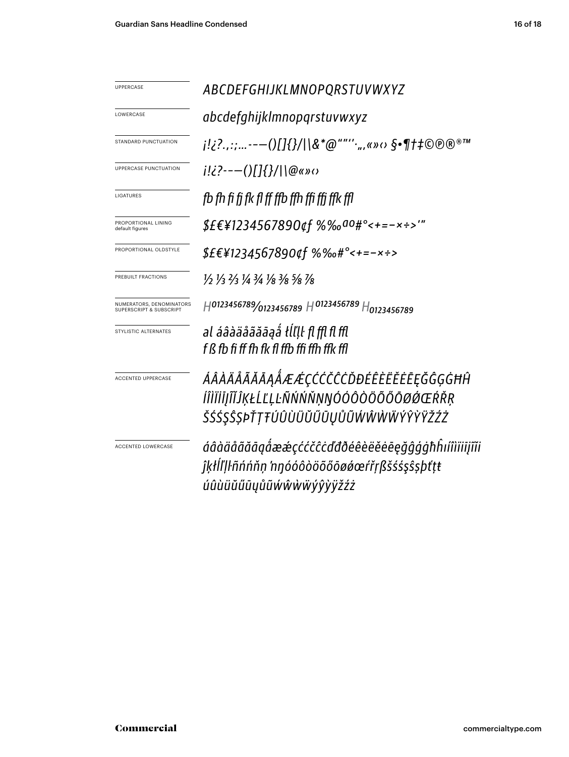| UPPERCASE                                           | ABCDEFGHIJKLMNOPQRSTUVWXYZ                                                                                           |
|-----------------------------------------------------|----------------------------------------------------------------------------------------------------------------------|
| LOWERCASE                                           | abcdefghijklmnopqrstuvwxyz                                                                                           |
| STANDARD PUNCTUATION                                | j!¿?.,:;---()[]{}/ \&*@""'' <sub>"</sub> ,«»‹› §•¶†‡©®®™                                                             |
| <b>UPPERCASE PUNCTUATION</b>                        | $i!i$ ?---()[]{}/ \@«» $\alpha$                                                                                      |
| LIGATURES                                           | fb fh fi fi fk fl ff ffb ffh ffi ffi ffk ffl                                                                         |
| PROPORTIONAL LINING<br>default figures              | $$E$ £¥1234567890¢f %‰ <sup>ao</sup> #°<+=-×÷>'"                                                                     |
| PROPORTIONAL OLDSTYLE                               | \$£€¥1234567890¢f %‰#°<+=-×÷>                                                                                        |
| PREBUILT FRACTIONS                                  | 1/2 1/3 2/3 1/4 3/4 1/8 3/8 5/8 7/8                                                                                  |
| NUMERATORS, DENOMINATORS<br>SUPERSCRIPT & SUBSCRIPT | $H^{0123456789}$ 0123456789 H0123456789 H0123456789                                                                  |
| STYLISTIC ALTERNATES                                | al áâàäåãăāaå łĺľḷŀ fl ffl fl ffl<br>f ß fb fi ff fh fk fl ffb ffi ffh ffk ffl                                       |
| <b>ACCENTED UPPERCASE</b>                           | ÁÂÀÄÅÃĂĀĄÅÆÆÇĆĆČĈŎĐÉÊÈËĔĔĒĘĞĜĢĠĦĤ<br>ÍÎÌÏİĪJĨĬĴĶŁĹĽĻĿÑŃŃŇŅŊÓÓÔŎŎŐŐŌØØŒŔŘŖ<br>ŠŚŚŞŜȘÞŤŢŦÚÛÙÜŬŰŨŲŮŨŴŴŴŴŶŶŸŽŹŻ          |
| <b>ACCENTED LOWERCASE</b>                           | áâàäåãăāgåææçććčĉcďđðéêèëĕėēęğĝģġħĥıíîìïiijĩĭi<br>ĵķłĺľļŀñńńňṇ 'nŋóóôòöõőōøǿœŕřŗßšśśşŝşþťṭŧ<br>úûùüŭűūyůũẃŵẁẅýŷỳÿžźż |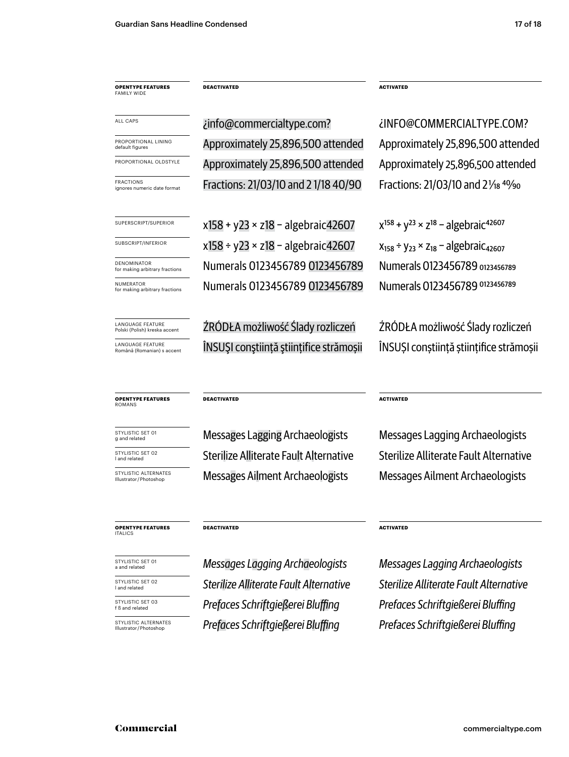**opentype FEATUREs** family wide

PROPORTIONAL LINING<br>default figures

all caps

FRACTIONS<br>ignores numeric date format

**NUMERATOR**<br>for making arbitrary fractions

LANGUAGE FEATURE<br>Polski (Polish) kreska accen

LANGUAGE FEATURE<br>Română (Romanian) s

**opentype FEATUREs** romans

STYLISTIC SET 01<br>g and related

STYLISTIC SET 02<br>I and related

STYLISTIC ALTERNATES<br>Illustrator/Photoshop

#### **opentype FEATUREs** italics

STYLISTIC SET 01<br>a and related

STYLISTIC SET 02<br>I and related

STYLISTIC SET 03<br>f ß and related

STYLISTIC ALTERNATES<br>Illustrator/Photoshop

Approximately 25,896,500 attended Approximately 25,896,500 attended Fractions: 21/03/10 and 21/18 40/90 Fractions: 21/03/10 and 21/18 40/90 PROPORTIONAL OLDSTYLE Approximately 25,896,500 attended Approximately 25,896,500 attended ¿info@commercialtype.com? ¿info@commercialtype.com?

 $S^{UPERSCRIPT/SUPERIOR}$  x  $158 + y23 \times z18 - algebraic42607$   $x^{158} + y^{23} \times z^{18} - algebraic^{42607}$ subscript/inferior  $x158 \div y23 \times z18 - aI$ gebraic42607  $x_{158} \div y_{23} \times z_{18} - aI$ gebraic<sub>42607</sub> Numerals 0123456789 0123456789 Numerals 0123456789 0123456789 DENOMINATOR **CENOMINATOR** 0123456789 DENOMINATOR 1123456789 Numerals 0123456789 0123456789

ŹRÓDŁA możliwość Ślady rozliczeń ŻRÓDŁA możliwość Ślady rozliczeń ITURE (ÎNSUȘI conștiință științifice strămoșii ânti Conștiință științifice strămoșii î

**DEACTIVATED ACTIVATED**

#### **DEACTIVATED ACTIVATED**

g and related Messages Lagging Archaeologists Messages Lagging Archaeologists l and related Sterilize Alliterate Fault Alternative Sterilize Alliterate Fault Alternative Messages Ailment Archaeologists Messages Ailment Archaeologists

#### **DEACTIVATED ACTIVATED**

f ß and related *Prefaces Schriftgießerei Bluffing Prefaces Schriftgießerei Bluffing* Illustrator / Photoshop *Prefaces Schriftgießerei Bluffing Prefaces Schriftgießerei Bluffing* a and related *Messages Lagging Archaeologists Messages Lagging Archaeologists*

l and related *Sterilize Alliterate Fault Alternative Sterilize Alliterate Fault Alternative*